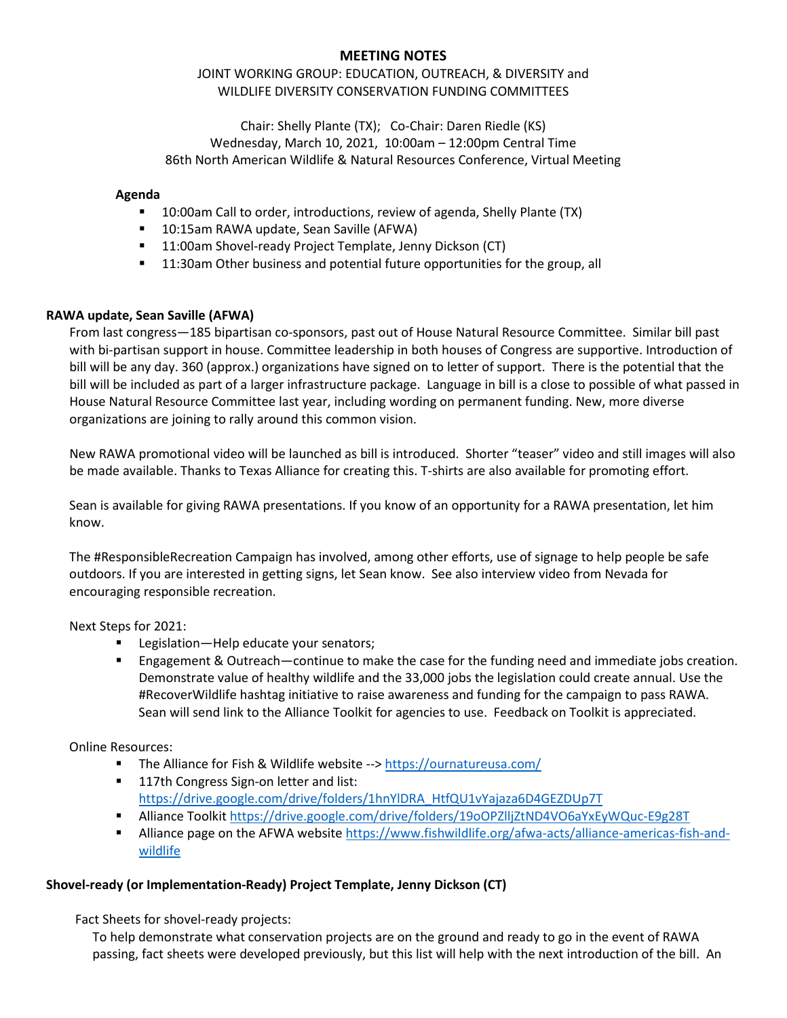# **MEETING NOTES**

# JOINT WORKING GROUP: EDUCATION, OUTREACH, & DIVERSITY and WILDLIFE DIVERSITY CONSERVATION FUNDING COMMITTEES

Chair: Shelly Plante (TX); Co-Chair: Daren Riedle (KS) Wednesday, March 10, 2021, 10:00am – 12:00pm Central Time 86th North American Wildlife & Natural Resources Conference, Virtual Meeting

#### **Agenda**

- **10:00am Call to order, introductions, review of agenda, Shelly Plante (TX)**
- **10:15am RAWA update, Sean Saville (AFWA)**
- **11:00am Shovel-ready Project Template, Jenny Dickson (CT)**
- 11:30am Other business and potential future opportunities for the group, all

## **RAWA update, Sean Saville (AFWA)**

From last congress—185 bipartisan co-sponsors, past out of House Natural Resource Committee. Similar bill past with bi-partisan support in house. Committee leadership in both houses of Congress are supportive. Introduction of bill will be any day. 360 (approx.) organizations have signed on to letter of support. There is the potential that the bill will be included as part of a larger infrastructure package. Language in bill is a close to possible of what passed in House Natural Resource Committee last year, including wording on permanent funding. New, more diverse organizations are joining to rally around this common vision.

New RAWA promotional video will be launched as bill is introduced. Shorter "teaser" video and still images will also be made available. Thanks to Texas Alliance for creating this. T-shirts are also available for promoting effort.

Sean is available for giving RAWA presentations. If you know of an opportunity for a RAWA presentation, let him know.

The #ResponsibleRecreation Campaign has involved, among other efforts, use of signage to help people be safe outdoors. If you are interested in getting signs, let Sean know. See also interview video from Nevada for encouraging responsible recreation.

Next Steps for 2021:

- **Legislation—Help educate your senators;**
- Engagement & Outreach—continue to make the case for the funding need and immediate jobs creation. Demonstrate value of healthy wildlife and the 33,000 jobs the legislation could create annual. Use the #RecoverWildlife hashtag initiative to raise awareness and funding for the campaign to pass RAWA. Sean will send link to the Alliance Toolkit for agencies to use. Feedback on Toolkit is appreciated.

Online Resources:

- The Alliance for Fish & Wildlife website --[> https://ournatureusa.com/](https://ournatureusa.com/)
- **117th Congress Sign-on letter and list:** [https://drive.google.com/drive/folders/1hnYlDRA\\_HtfQU1vYajaza6D4GEZDUp7T](https://drive.google.com/drive/folders/1hnYlDRA_HtfQU1vYajaza6D4GEZDUp7T)
- Alliance Toolkit<https://drive.google.com/drive/folders/19oOPZlljZtND4VO6aYxEyWQuc-E9g28T>
- Alliance page on the AFWA website [https://www.fishwildlife.org/afwa-acts/alliance-americas-fish-and](https://www.fishwildlife.org/afwa-acts/alliance-americas-fish-and-wildlife)[wildlife](https://www.fishwildlife.org/afwa-acts/alliance-americas-fish-and-wildlife)

## **Shovel-ready (or Implementation-Ready) Project Template, Jenny Dickson (CT)**

Fact Sheets for shovel-ready projects:

To help demonstrate what conservation projects are on the ground and ready to go in the event of RAWA passing, fact sheets were developed previously, but this list will help with the next introduction of the bill. An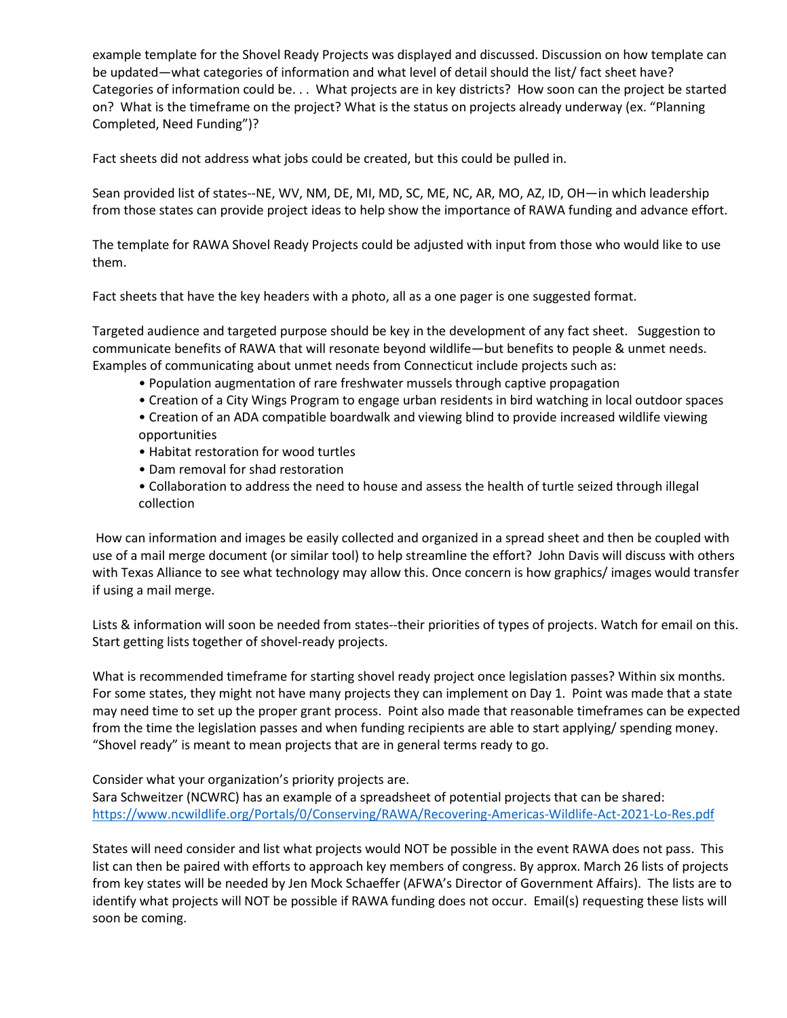example template for the Shovel Ready Projects was displayed and discussed. Discussion on how template can be updated—what categories of information and what level of detail should the list/ fact sheet have? Categories of information could be. . . What projects are in key districts? How soon can the project be started on? What is the timeframe on the project? What is the status on projects already underway (ex. "Planning Completed, Need Funding")?

Fact sheets did not address what jobs could be created, but this could be pulled in.

Sean provided list of states--NE, WV, NM, DE, MI, MD, SC, ME, NC, AR, MO, AZ, ID, OH—in which leadership from those states can provide project ideas to help show the importance of RAWA funding and advance effort.

The template for RAWA Shovel Ready Projects could be adjusted with input from those who would like to use them.

Fact sheets that have the key headers with a photo, all as a one pager is one suggested format.

Targeted audience and targeted purpose should be key in the development of any fact sheet. Suggestion to communicate benefits of RAWA that will resonate beyond wildlife—but benefits to people & unmet needs. Examples of communicating about unmet needs from Connecticut include projects such as:

- Population augmentation of rare freshwater mussels through captive propagation
- Creation of a City Wings Program to engage urban residents in bird watching in local outdoor spaces
- Creation of an ADA compatible boardwalk and viewing blind to provide increased wildlife viewing opportunities
- Habitat restoration for wood turtles
- Dam removal for shad restoration
- Collaboration to address the need to house and assess the health of turtle seized through illegal collection

How can information and images be easily collected and organized in a spread sheet and then be coupled with use of a mail merge document (or similar tool) to help streamline the effort? John Davis will discuss with others with Texas Alliance to see what technology may allow this. Once concern is how graphics/ images would transfer if using a mail merge.

Lists & information will soon be needed from states--their priorities of types of projects. Watch for email on this. Start getting lists together of shovel-ready projects.

What is recommended timeframe for starting shovel ready project once legislation passes? Within six months. For some states, they might not have many projects they can implement on Day 1. Point was made that a state may need time to set up the proper grant process. Point also made that reasonable timeframes can be expected from the time the legislation passes and when funding recipients are able to start applying/ spending money. "Shovel ready" is meant to mean projects that are in general terms ready to go.

Consider what your organization's priority projects are.

Sara Schweitzer (NCWRC) has an example of a spreadsheet of potential projects that can be shared: <https://www.ncwildlife.org/Portals/0/Conserving/RAWA/Recovering-Americas-Wildlife-Act-2021-Lo-Res.pdf>

States will need consider and list what projects would NOT be possible in the event RAWA does not pass. This list can then be paired with efforts to approach key members of congress. By approx. March 26 lists of projects from key states will be needed by Jen Mock Schaeffer (AFWA's Director of Government Affairs). The lists are to identify what projects will NOT be possible if RAWA funding does not occur. Email(s) requesting these lists will soon be coming.